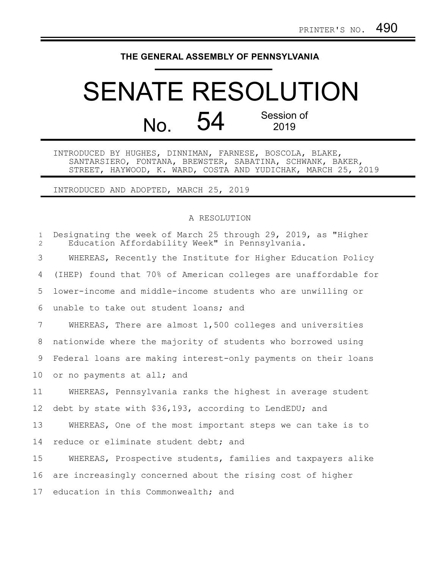## **THE GENERAL ASSEMBLY OF PENNSYLVANIA**

## SENATE RESOLUTION No. 54 Session of 2019

INTRODUCED BY HUGHES, DINNIMAN, FARNESE, BOSCOLA, BLAKE, SANTARSIERO, FONTANA, BREWSTER, SABATINA, SCHWANK, BAKER, STREET, HAYWOOD, K. WARD, COSTA AND YUDICHAK, MARCH 25, 2019

INTRODUCED AND ADOPTED, MARCH 25, 2019

## A RESOLUTION

| $\mathbf{1}$<br>2 | Designating the week of March 25 through 29, 2019, as "Higher<br>Education Affordability Week" in Pennsylvania. |
|-------------------|-----------------------------------------------------------------------------------------------------------------|
| 3                 | WHEREAS, Recently the Institute for Higher Education Policy                                                     |
| 4                 | (IHEP) found that 70% of American colleges are unaffordable for                                                 |
| 5                 | lower-income and middle-income students who are unwilling or                                                    |
| 6                 | unable to take out student loans; and                                                                           |
| $7\overline{ }$   | WHEREAS, There are almost 1,500 colleges and universities                                                       |
| 8                 | nationwide where the majority of students who borrowed using                                                    |
| 9                 | Federal loans are making interest-only payments on their loans                                                  |
| 10                | or no payments at all; and                                                                                      |
| 11                | WHEREAS, Pennsylvania ranks the highest in average student                                                      |
| $12 \,$           | debt by state with \$36,193, according to LendEDU; and                                                          |
| 13                | WHEREAS, One of the most important steps we can take is to                                                      |
| 14                | reduce or eliminate student debt; and                                                                           |
| 15                | WHEREAS, Prospective students, families and taxpayers alike                                                     |
| 16                | are increasingly concerned about the rising cost of higher                                                      |
| 17                | education in this Commonwealth; and                                                                             |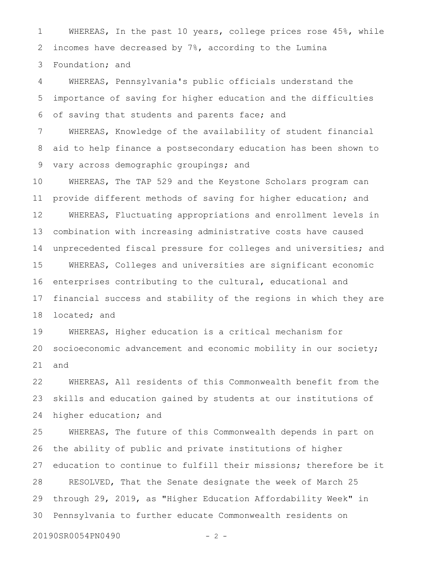WHEREAS, In the past 10 years, college prices rose 45%, while incomes have decreased by 7%, according to the Lumina Foundation; and 1 2 3

WHEREAS, Pennsylvania's public officials understand the importance of saving for higher education and the difficulties of saving that students and parents face; and 4 5 6

WHEREAS, Knowledge of the availability of student financial aid to help finance a postsecondary education has been shown to vary across demographic groupings; and 7 8 9

WHEREAS, The TAP 529 and the Keystone Scholars program can provide different methods of saving for higher education; and WHEREAS, Fluctuating appropriations and enrollment levels in combination with increasing administrative costs have caused unprecedented fiscal pressure for colleges and universities; and WHEREAS, Colleges and universities are significant economic enterprises contributing to the cultural, educational and financial success and stability of the regions in which they are located; and 10 11 12 13 14 15 16 17 18

WHEREAS, Higher education is a critical mechanism for socioeconomic advancement and economic mobility in our society; and 19 20 21

WHEREAS, All residents of this Commonwealth benefit from the skills and education gained by students at our institutions of higher education; and 22 23 24

WHEREAS, The future of this Commonwealth depends in part on the ability of public and private institutions of higher education to continue to fulfill their missions; therefore be it RESOLVED, That the Senate designate the week of March 25 through 29, 2019, as "Higher Education Affordability Week" in Pennsylvania to further educate Commonwealth residents on 25 26 27 28 29 30

20190SR0054PN0490 - 2 -